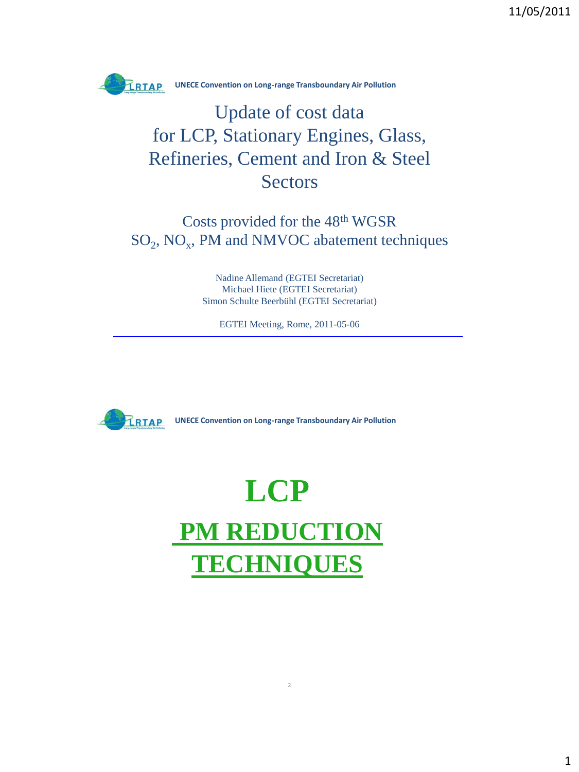

## Update of cost data for LCP, Stationary Engines, Glass, Refineries, Cement and Iron & Steel **Sectors**

Costs provided for the 48th WGSR  $SO_2$ ,  $NO_x$ , PM and NMVOC abatement techniques

> Nadine Allemand (EGTEI Secretariat) Michael Hiete (EGTEI Secretariat) Simon Schulte Beerbühl (EGTEI Secretariat)

EGTEI Meeting, Rome, 2011-05-06



**UNECE Convention on Long-range Transboundary Air Pollution** 

# **LCP PM REDUCTION TECHNIQUES**

2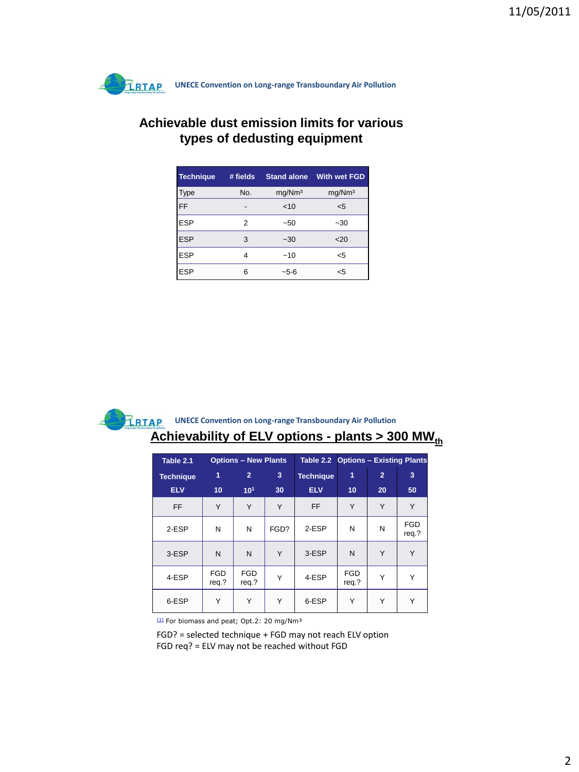

#### **Achievable dust emission limits for various types of dedusting equipment**

| <b>Technique</b> | # fields | <b>Stand alone</b> | <b>With wet FGD</b> |
|------------------|----------|--------------------|---------------------|
| <b>Type</b>      | No.      | mg/Nm <sup>3</sup> | mg/Nm <sup>3</sup>  |
| FF               |          | $<$ 10             | $5$                 |
| <b>ESP</b>       | 2        | $-50$              | $-30$               |
| <b>ESP</b>       | 3        | $-30$              | $20$                |
| <b>ESP</b>       | 4        | ~10                | $<$ 5               |
| <b>ESP</b>       | 6        | ~5-6               | <5                  |

#### **Achievability of ELV options - plants > 300 MW**<sup>th</sup> **EXAMPLE CONVERTIGION CONVERTIGION CONVERTIGION CONVERTIGION OF THE POLICIAL PROPERTY AIR POLICIAL PROPERTY AIR POLICIAL PROPERTY AIR POLICIAL PROPERTY AIR POLICIAL PROPERTY AIR POLICIAL PROPERTY AIR POLICIAL PROPERTY AIR**

| Table 2.1        |                     | <b>Options - New Plants</b> |      | Table 2.2        |                     | <b>Options - Existing Plants</b> |                     |
|------------------|---------------------|-----------------------------|------|------------------|---------------------|----------------------------------|---------------------|
| <b>Technique</b> | 1                   | $\overline{2}$              | 3    | <b>Technique</b> | 1                   | $\overline{2}$                   | 3                   |
| <b>ELV</b>       | 10                  | 10 <sup>1</sup>             | 30   | <b>ELV</b>       | 10                  | 20                               | 50                  |
| <b>FF</b>        | Y                   | Y                           | Y    | <b>FF</b>        | Y                   | Y                                | Υ                   |
| 2-ESP            | N                   | N                           | FGD? | 2-ESP            | N                   | N                                | <b>FGD</b><br>req.? |
| 3-ESP            | N                   | N                           | Y    | 3-ESP            | N                   | Y                                | Υ                   |
| 4-ESP            | <b>FGD</b><br>req.? | <b>FGD</b><br>req.?         | Υ    | 4-ESP            | <b>FGD</b><br>req.? | Y                                |                     |
| 6-ESP            | Υ                   | Υ                           | Y    | 6-ESP            | Y                   | Υ                                | Υ                   |

[1] For biomass and peat; Opt.2: 20 mg/Nm<sup>3</sup>

FGD? = selected technique + FGD may not reach ELV option FGD req? = ELV may not be reached without FGD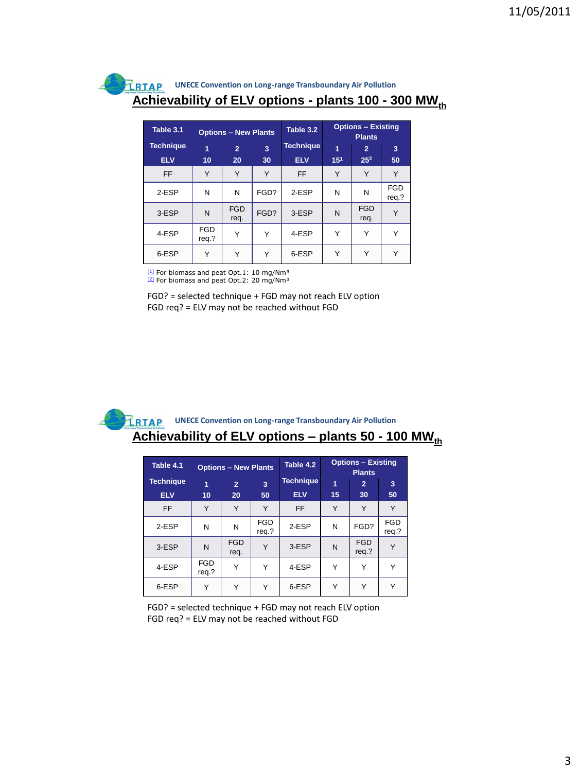#### **UNECE Convention on Long-range Transboundary Air Pollution LRTAP Achievability of ELV options - plants 100 - 300 MW<sub>th</sub>**

| Table 3.1                      |                     | <b>Options - New Plants</b> |         | Table 3.2                      |                      | <b>Options - Existing</b><br><b>Plants</b> |                     |
|--------------------------------|---------------------|-----------------------------|---------|--------------------------------|----------------------|--------------------------------------------|---------------------|
| <b>Technique</b><br><b>ELV</b> | 1<br>10             | $\overline{2}$<br>20        | 3<br>30 | <b>Technique</b><br><b>ELV</b> | 1<br>15 <sup>1</sup> | 2<br>25 <sup>2</sup>                       | 3<br>50             |
| <b>FF</b>                      | Y                   | Y                           | Y       | FF                             | Υ                    | Υ                                          | Υ                   |
| 2-ESP                          | N                   | N                           | FGD?    | 2-ESP                          | N                    | N                                          | <b>FGD</b><br>req.? |
| 3-ESP                          | N                   | <b>FGD</b><br>req.          | FGD?    | 3-ESP                          | N                    | <b>FGD</b><br>req.                         | Υ                   |
| 4-ESP                          | <b>FGD</b><br>reg.? | Υ                           | Υ       | 4-ESP                          | Υ                    | Υ                                          | Υ                   |
| 6-ESP                          | Υ                   | Y                           | Υ       | 6-ESP                          | Υ                    | Υ                                          | Υ                   |

[1] For biomass and peat Opt.1: 10 mg/Nm<sup>3</sup> <sup>121</sup> For biomass and peat Opt.2: 20 mg/Nm<sup>3</sup>

FGD? = selected technique + FGD may not reach ELV option

FGD req? = ELV may not be reached without FGD

#### **Achievability of ELV options – plants 50 - 100 MW<sub>th</sub> UNECE Convention on Long-range Transboundary Air Pollution**

| Table 4.1        |                     | <b>Options - New Plants</b> |                     | Table 4.2        |    | <b>Options - Existing</b><br><b>Plants</b> |                     |
|------------------|---------------------|-----------------------------|---------------------|------------------|----|--------------------------------------------|---------------------|
| <b>Technique</b> | 1                   | $\overline{2}$              | 3                   | <b>Technique</b> | 1  | $\overline{2}$                             | 3                   |
| <b>ELV</b>       | 10                  | 20                          | 50                  | <b>ELV</b>       | 15 | 30                                         | 50                  |
| <b>FF</b>        | Y                   | Υ                           | Υ                   | <b>FF</b>        | Υ  | Υ                                          | Υ                   |
| 2-ESP            | N                   | N                           | <b>FGD</b><br>reg.? | 2-ESP            | N  | FGD?                                       | <b>FGD</b><br>reg.? |
| 3-ESP            | N                   | <b>FGD</b><br>req.          | Υ                   | 3-ESP            | N  | <b>FGD</b><br>reg.?                        |                     |
| 4-ESP            | <b>FGD</b><br>req.? | Υ                           | Υ                   | 4-ESP            | Υ  | Υ                                          | Υ                   |
| 6-ESP            | Υ                   | Υ                           | $\checkmark$        | 6-ESP            | Υ  | $\checkmark$                               | $\checkmark$        |

FGD? = selected technique + FGD may not reach ELV option FGD req? = ELV may not be reached without FGD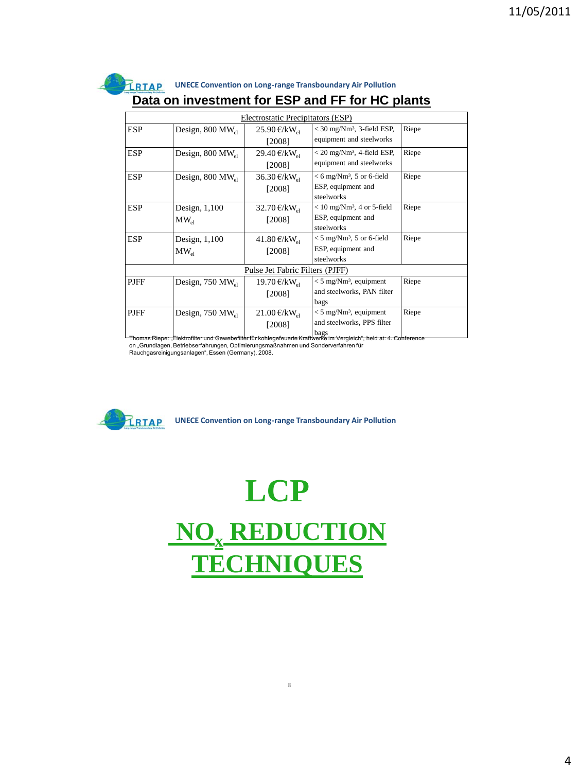|             |                                        |                                    | Data on investment for ESP and FF for HC plants                                                                                                                                                        |       |
|-------------|----------------------------------------|------------------------------------|--------------------------------------------------------------------------------------------------------------------------------------------------------------------------------------------------------|-------|
|             |                                        | Electrostatic Precipitators (ESP)  |                                                                                                                                                                                                        |       |
| <b>ESP</b>  | Design, $800 \text{ MW}$ <sub>el</sub> | 25.90 €/kW <sub>el</sub><br>[2008] | $<$ 30 mg/Nm <sup>3</sup> , 3-field ESP,<br>equipment and steelworks                                                                                                                                   | Riepe |
| <b>ESP</b>  | Design, $800 \text{ MW}_{\text{el}}$   | 29.40 €/kW <sub>al</sub><br>[2008] | $<$ 20 mg/Nm <sup>3</sup> , 4-field ESP,<br>equipment and steelworks                                                                                                                                   | Riepe |
| <b>ESP</b>  | Design, $800 \text{ MW}_{\text{el}}$   | 36.30 €/kW <sub>el</sub><br>[2008] | $< 6$ mg/Nm <sup>3</sup> , 5 or 6-field<br>ESP, equipment and<br>steelworks                                                                                                                            | Riepe |
| <b>ESP</b>  | Design, $1,100$<br>$MW_{el}$           | 32.70 €/kW <sub>al</sub><br>[2008] | $< 10$ mg/Nm <sup>3</sup> , 4 or 5-field<br>ESP, equipment and<br>steelworks                                                                                                                           | Riepe |
| <b>ESP</b>  | Design, $1,100$<br>$MW_{el}$           | 41.80 €/kW <sub>el</sub><br>[2008] | $<$ 5 mg/Nm <sup>3</sup> , 5 or 6-field<br>ESP, equipment and<br>steelworks                                                                                                                            | Riepe |
|             |                                        | Pulse Jet Fabric Filters (PJFF)    |                                                                                                                                                                                                        |       |
| <b>PJFF</b> | Design, $750 \text{ MW}$ <sub>el</sub> | 19.70 €/ $kW_{e1}$<br>[2008]       | $<$ 5 mg/Nm <sup>3</sup> , equipment<br>and steelworks, PAN filter<br>bags                                                                                                                             | Riepe |
| <b>PJFF</b> | Design, $750 \text{ MW}_{\text{el}}$   | 21.00 €/ $kW_{el}$<br>[2008]       | $< 5$ mg/Nm <sup>3</sup> , equipment<br>and steelworks, PPS filter<br>bags<br><u>Thomas Riepe: "Elektrofilter und Gewebefilter für kohlegefeuerte Kraftwerke im Vergleich", held at: 4. Conference</u> | Riepe |



**LCP NO<sup>x</sup> REDUCTION TECHNIQUES**

8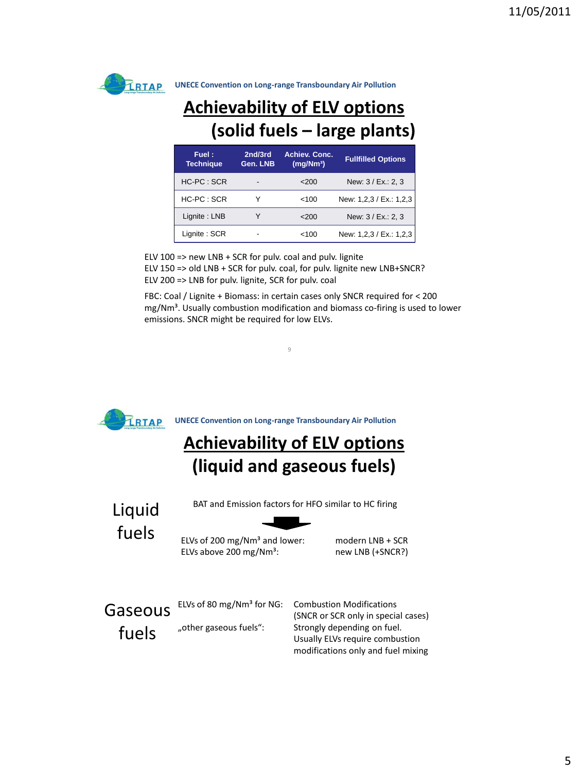

## **Achievability of ELV options (solid fuels – large plants)**

| Fuel:<br><b>Technique</b> | 2nd/3rd<br>Gen. LNB | <b>Achiev. Conc.</b><br>(mq/Nm <sup>3</sup> ) | <b>Fullfilled Options</b> |
|---------------------------|---------------------|-----------------------------------------------|---------------------------|
| HC-PC : SCR               | ٠                   | 200                                           | New: 3 / Ex.: 2, 3        |
| $HC-PC:SCR$               |                     | <100                                          | New: 1,2,3 / Ex.: 1,2,3   |
| Lignite: LNB              |                     | 200                                           | New: 3 / Ex.: 2, 3        |
| Lignite: SCR              |                     | <100                                          | New: 1,2,3 / Ex.: 1,2,3   |

ELV 100 => new LNB + SCR for pulv. coal and pulv. lignite ELV 150 => old LNB + SCR for pulv. coal, for pulv. lignite new LNB+SNCR? ELV 200 => LNB for pulv. lignite, SCR for pulv. coal

FBC: Coal / Lignite + Biomass: in certain cases only SNCR required for < 200  $mg/Nm<sup>3</sup>$ . Usually combustion modification and biomass co-firing is used to lower emissions. SNCR might be required for low ELVs.

 $\alpha$ 

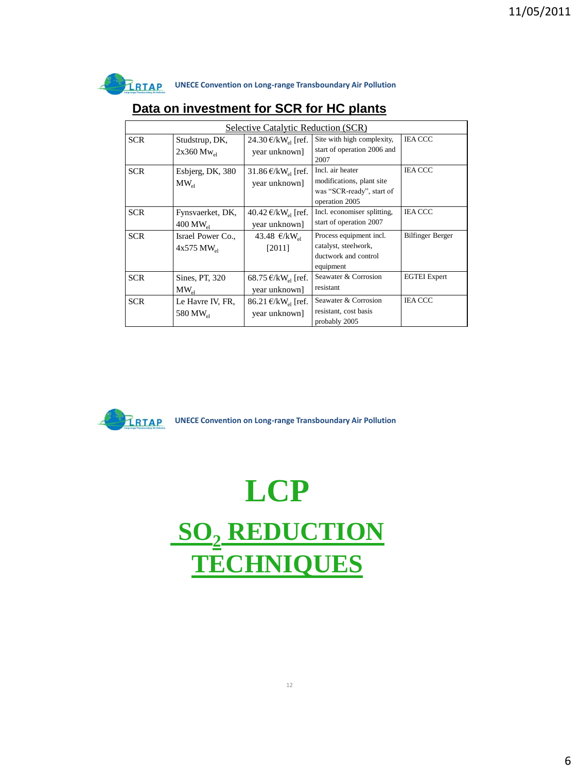

|            | Selective Catalytic Reduction (SCR)              |                                                         |                                                                                              |                     |  |  |  |  |  |
|------------|--------------------------------------------------|---------------------------------------------------------|----------------------------------------------------------------------------------------------|---------------------|--|--|--|--|--|
| <b>SCR</b> | Studstrup, DK,<br>$2x360 \text{ Mw}_{\text{el}}$ | 24.30 €/kW <sub>el</sub> [ref.<br>year unknown]         | Site with high complexity,<br>start of operation 2006 and<br>2007                            | <b>IEA CCC</b>      |  |  |  |  |  |
| <b>SCR</b> | Esbjerg, DK, 380<br>$MW_{el}$                    | 31.86 €/kW <sub>el</sub> [ref.<br>year unknown]         | Incl. air heater<br>modifications, plant site<br>was "SCR-ready", start of<br>operation 2005 | <b>IEA CCC</b>      |  |  |  |  |  |
| <b>SCR</b> | Fynsvaerket, DK,<br>$400$ MW <sub>el</sub>       | 40.42 €/kW <sub>el</sub> [ref.<br>year unknown]         | Incl. economiser splitting,<br>start of operation 2007                                       | <b>IEA CCC</b>      |  |  |  |  |  |
| <b>SCR</b> | Israel Power Co.,<br>$4x575$ MW <sub>el</sub>    | 43.48 €/kW <sub>el</sub><br>[2011]                      | Process equipment incl.<br>catalyst, steelwork,<br>ductwork and control<br>equipment         | Bilfinger Berger    |  |  |  |  |  |
| <b>SCR</b> | Sines, PT, 320<br>$MW_{el}$                      | 68.75 €/kW <sub>el</sub> [ref.<br>year unknown]         | Seawater & Corrosion<br>resistant                                                            | <b>EGTEI</b> Expert |  |  |  |  |  |
| <b>SCR</b> | Le Havre IV, FR,<br>580 MW <sub>el</sub>         | $86.21 \text{ €/kW}_{\text{el}}$ [ref.<br>year unknown] | Seawater & Corrosion<br>resistant, cost basis<br>probably 2005                               | <b>IEA CCC</b>      |  |  |  |  |  |

#### **Data on investment for SCR for HC plants**



**EXAMPLE Convention on Long-range Transboundary Air Pollution** 

**LCP SO<sup>2</sup> REDUCTION TECHNIQUES**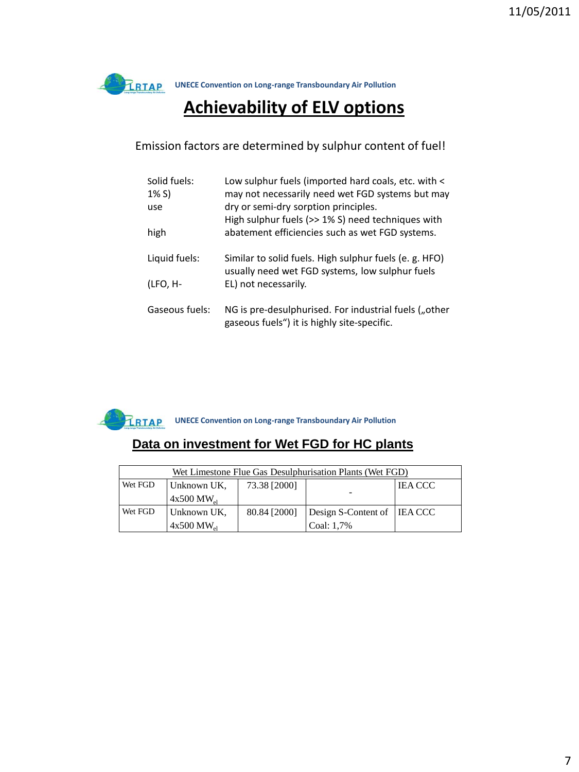### **Achievability of ELV options**

#### Emission factors are determined by sulphur content of fuel!

| Solid fuels:<br>$1\% S$ | Low sulphur fuels (imported hard coals, etc. with <<br>may not necessarily need wet FGD systems but may   |
|-------------------------|-----------------------------------------------------------------------------------------------------------|
| use                     | dry or semi-dry sorption principles.<br>High sulphur fuels (>> 1% S) need techniques with                 |
| high                    | abatement efficiencies such as wet FGD systems.                                                           |
| Liquid fuels:           | Similar to solid fuels. High sulphur fuels (e. g. HFO)<br>usually need wet FGD systems, low sulphur fuels |
| (LFO, H-                | EL) not necessarily.                                                                                      |
| Gaseous fuels:          | NG is pre-desulphurised. For industrial fuels ("other<br>gaseous fuels") it is highly site-specific.      |



#### **Data on investment for Wet FGD for HC plants**

|         | Wet Limestone Flue Gas Desulphurisation Plants (Wet FGD) |              |                               |           |  |  |  |  |
|---------|----------------------------------------------------------|--------------|-------------------------------|-----------|--|--|--|--|
| Wet FGD | Unknown UK,                                              | 73.38 [2000] |                               | I IEA CCC |  |  |  |  |
|         | $4x500 \text{ MW}$ <sub>ol</sub>                         |              |                               |           |  |  |  |  |
| Wet FGD | Unknown UK.                                              | 80.84 [2000] | Design S-Content of   IEA CCC |           |  |  |  |  |
|         | $4x500 \text{ MW}$ <sub>ol</sub><br>Coal: 1,7%           |              |                               |           |  |  |  |  |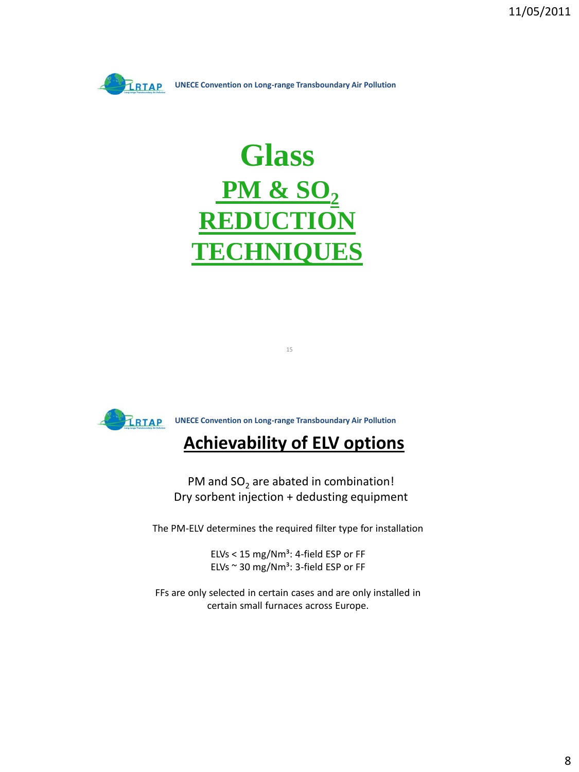

# **Glass PM & SO<sup>2</sup> REDUCTION TECHNIQUES**



## **Achievability of ELV options**

15

PM and  ${SO_2}$  are abated in combination! Dry sorbent injection + dedusting equipment

The PM-ELV determines the required filter type for installation

ELVs <  $15 \text{ mg}/\text{Nm}^3$ : 4-field ESP or FF ELVs  $\sim$  30 mg/Nm<sup>3</sup>: 3-field ESP or FF

FFs are only selected in certain cases and are only installed in certain small furnaces across Europe.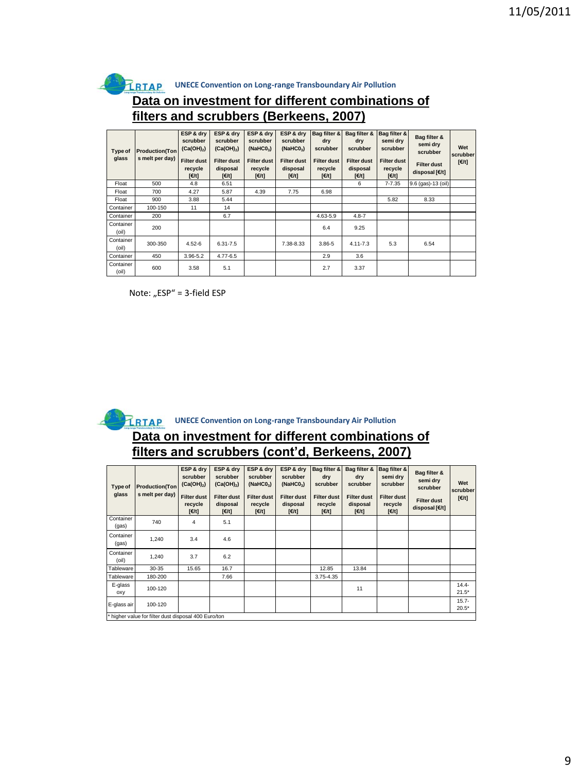

#### **Data on investment for different combinations of filters and scrubbers (Berkeens, 2007)**

| Type of<br>glass   | <b>Production</b> (Ton<br>s melt per day) | ESP & dry<br>scrubber<br>$(Ca(OH)_2)$<br><b>Filter dust</b><br>recycle<br>[E/t] | ESP & drv<br>scrubber<br>$(Ca(OH)_{2})$<br><b>Filter dust</b><br>disposal<br>[€/t] | ESP & dry<br>scrubber<br>(NaHCO <sub>3</sub> )<br><b>Filter dust</b><br>recycle<br>[E/t] | ESP & drv<br>scrubber<br>(NaHCO <sub>3</sub> )<br><b>Filter dust</b><br>disposal<br>[€/t] | Bag filter &<br>dry<br>scrubber<br><b>Filter dust</b><br>recycle<br>[6/t] | Bag filter &<br>dry<br>scrubber<br><b>Filter dust</b><br>disposal<br>[H] | Bag filter &<br>semi dry<br>scrubber<br><b>Filter dust</b><br>recycle<br>[€/t] | Bag filter &<br>semi dry<br>scrubber<br><b>Filter dust</b><br>disposal [€/t] | Wet<br>scrubber<br>[€/t] |
|--------------------|-------------------------------------------|---------------------------------------------------------------------------------|------------------------------------------------------------------------------------|------------------------------------------------------------------------------------------|-------------------------------------------------------------------------------------------|---------------------------------------------------------------------------|--------------------------------------------------------------------------|--------------------------------------------------------------------------------|------------------------------------------------------------------------------|--------------------------|
| Float              | 500                                       | 4.8                                                                             | 6.51                                                                               |                                                                                          |                                                                                           |                                                                           | 6                                                                        | $7 - 7.35$                                                                     | 9.6 (gas)-13 (oil)                                                           |                          |
| Float              | 700                                       | 4.27                                                                            | 5.87                                                                               | 4.39                                                                                     | 7.75                                                                                      | 6.98                                                                      |                                                                          |                                                                                |                                                                              |                          |
| Float              | 900                                       | 3.88                                                                            | 5.44                                                                               |                                                                                          |                                                                                           |                                                                           |                                                                          | 5.82                                                                           | 8.33                                                                         |                          |
| Container          | 100-150                                   | 11                                                                              | 14                                                                                 |                                                                                          |                                                                                           |                                                                           |                                                                          |                                                                                |                                                                              |                          |
| Container          | 200                                       |                                                                                 | 6.7                                                                                |                                                                                          |                                                                                           | 4.63-5.9                                                                  | $4.8 - 7$                                                                |                                                                                |                                                                              |                          |
| Container<br>(oil) | 200                                       |                                                                                 |                                                                                    |                                                                                          |                                                                                           | 6.4                                                                       | 9.25                                                                     |                                                                                |                                                                              |                          |
| Container<br>(oil) | 300-350                                   | $4.52 - 6$                                                                      | $6.31 - 7.5$                                                                       |                                                                                          | 7.38-8.33                                                                                 | $3.86 - 5$                                                                | $4.11 - 7.3$                                                             | 5.3                                                                            | 6.54                                                                         |                          |
| Container          | 450                                       | 3.96-5.2                                                                        | 4.77-6.5                                                                           |                                                                                          |                                                                                           | 2.9                                                                       | 3.6                                                                      |                                                                                |                                                                              |                          |
| Container<br>(oil) | 600                                       | 3.58                                                                            | 5.1                                                                                |                                                                                          |                                                                                           | 2.7                                                                       | 3.37                                                                     |                                                                                |                                                                              |                          |

Note: "ESP" = 3-field ESP



**EXAGE Convention on Long-range Transboundary Air Pollution** 

#### **Data on investment for different combinations of filters and scrubbers (cont'd, Berkeens, 2007)**

| Type of<br>glass   | <b>Production(Ton</b><br>s melt per day)             | ESP & dry<br>scrubber<br>$(Ca(OH)_2)$<br><b>Filter dust</b><br>recycle<br>[€/t] | ESP & dry<br>scrubber<br>$(Ca(OH)_2)$<br><b>Filter dust</b><br>disposal<br>[6/t] | ESP & dry<br>scrubber<br>(NaHCO <sub>3</sub> )<br><b>Filter dust</b><br>recycle<br>[H] | ESP & dry<br>scrubber<br>(NaHCO <sub>3</sub> )<br><b>Filter dust</b><br>disposal<br>[€/t] | <b>Bag filter &amp;</b><br>dry<br>scrubber<br><b>Filter dust</b><br>recycle<br>[6/t] | Bag filter &<br>dry<br>scrubber<br><b>Filter dust</b><br>disposal<br>[€/t] | Bag filter &<br>semi drv<br>scrubber<br><b>Filter dust</b><br>recycle<br>[€/t] | Bag filter &<br>semi dry<br>scrubber<br><b>Filter dust</b><br>disposal [€/t] | Wet<br>scrubber<br>[€/t] |
|--------------------|------------------------------------------------------|---------------------------------------------------------------------------------|----------------------------------------------------------------------------------|----------------------------------------------------------------------------------------|-------------------------------------------------------------------------------------------|--------------------------------------------------------------------------------------|----------------------------------------------------------------------------|--------------------------------------------------------------------------------|------------------------------------------------------------------------------|--------------------------|
| Container<br>(gas) | 740                                                  | 4                                                                               | 5.1                                                                              |                                                                                        |                                                                                           |                                                                                      |                                                                            |                                                                                |                                                                              |                          |
| Container<br>(gas) | 1,240                                                | 3.4                                                                             | 4.6                                                                              |                                                                                        |                                                                                           |                                                                                      |                                                                            |                                                                                |                                                                              |                          |
| Container<br>(oil) | 1.240                                                | 3.7                                                                             | 6.2                                                                              |                                                                                        |                                                                                           |                                                                                      |                                                                            |                                                                                |                                                                              |                          |
| Tableware          | 30-35                                                | 15.65                                                                           | 16.7                                                                             |                                                                                        |                                                                                           | 12.85                                                                                | 13.84                                                                      |                                                                                |                                                                              |                          |
| Tableware          | 180-200                                              |                                                                                 | 7.66                                                                             |                                                                                        |                                                                                           | 3.75-4.35                                                                            |                                                                            |                                                                                |                                                                              |                          |
| E-glass<br>oxy     | 100-120                                              |                                                                                 |                                                                                  |                                                                                        |                                                                                           |                                                                                      | 11                                                                         |                                                                                |                                                                              | $14.4 -$<br>$21.5*$      |
| E-glass air        | 100-120                                              |                                                                                 |                                                                                  |                                                                                        |                                                                                           |                                                                                      |                                                                            |                                                                                |                                                                              | $15.7 -$<br>$20.5*$      |
|                    | * higher value for filter dust disposal 400 Euro/ton |                                                                                 |                                                                                  |                                                                                        |                                                                                           |                                                                                      |                                                                            |                                                                                |                                                                              |                          |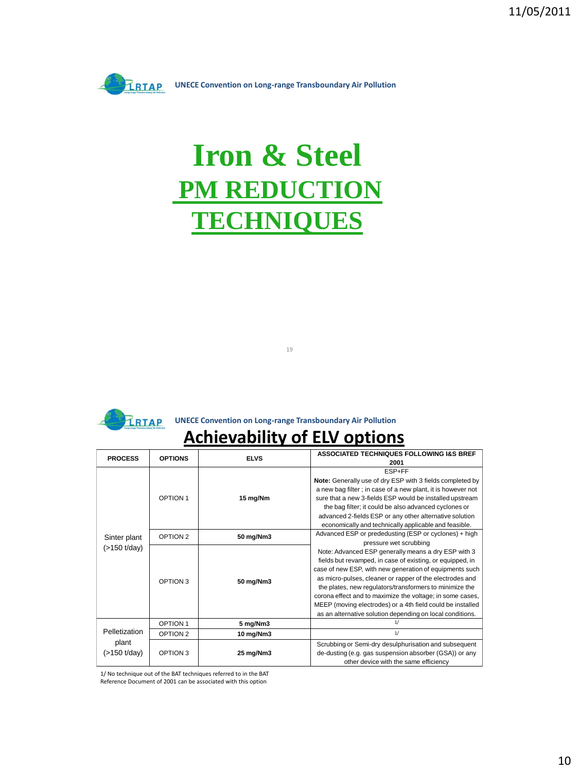

# **Iron & Steel PM REDUCTION TECHNIQUES**



#### **EXAGE REGISTER CONVERTIGION CONVERTED MANUSCRIPTION OF PRIME IN A VIOLET CONVERTIST OF PRIME ISLAMA AND THE PRIME ISLAMA AND THE PRIME ISLAMA AND THE PRIME ISLAMA AND THE PRIME ISLAMA <b>A**

19

#### **Achievability of ELV options**

| <b>PROCESS</b> | <b>OPTIONS</b>      | <b>ELVS</b> | ASSOCIATED TECHNIQUES FOLLOWING I&S BREF                    |
|----------------|---------------------|-------------|-------------------------------------------------------------|
|                |                     |             | 2001                                                        |
|                |                     |             | ESP+FF                                                      |
|                |                     |             | Note: Generally use of dry ESP with 3 fields completed by   |
|                |                     |             | a new bag filter; in case of a new plant, it is however not |
|                | OPTION 1            | 15 mg/Nm    | sure that a new 3-fields ESP would be installed upstream    |
|                |                     |             | the bag filter; it could be also advanced cyclones or       |
|                |                     |             | advanced 2-fields ESP or any other alternative solution     |
|                |                     |             | economically and technically applicable and feasible.       |
| Sinter plant   | OPTION <sub>2</sub> | 50 mg/Nm3   | Advanced ESP or prededusting (ESP or cyclones) + high       |
|                |                     |             | pressure wet scrubbing                                      |
| (>150 t/day)   | OPTION 3            |             | Note: Advanced ESP generally means a dry ESP with 3         |
|                |                     |             | fields but revamped, in case of existing, or equipped, in   |
|                |                     |             | case of new ESP, with new generation of equipments such     |
|                |                     | 50 mg/Nm3   | as micro-pulses, cleaner or rapper of the electrodes and    |
|                |                     |             | the plates, new regulators/transformers to minimize the     |
|                |                     |             | corona effect and to maximize the voltage; in some cases,   |
|                |                     |             | MEEP (moving electrodes) or a 4th field could be installed  |
|                |                     |             | as an alternative solution depending on local conditions.   |
|                | <b>OPTION 1</b>     | 5 mg/Nm3    | 1/                                                          |
| Pelletization  | OPTION <sub>2</sub> | 10 mg/Nm3   | 1/                                                          |
| plant          |                     |             | Scrubbing or Semi-dry desulphurisation and subsequent       |
| (>150 t/day)   | OPTION 3            | 25 mg/Nm3   | de-dusting (e.g. gas suspension absorber (GSA)) or any      |
|                |                     |             | other device with the same efficiency                       |

1/ No technique out of the BAT techniques referred to in the BAT

Reference Document of 2001 can be associated with this option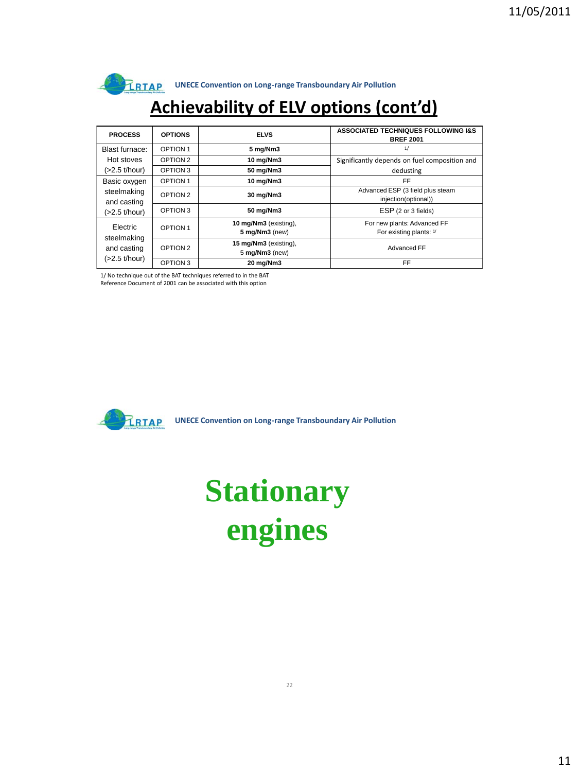

# **Achievability of ELV options (cont'd)**

| <b>PROCESS</b>             | <b>OPTIONS</b>  | <b>ELVS</b>                             | <b>ASSOCIATED TECHNIQUES FOLLOWING I&amp;S</b><br><b>BREF 2001</b> |
|----------------------------|-----------------|-----------------------------------------|--------------------------------------------------------------------|
| Blast furnace:             | OPTION 1        | 5 mg/Nm3                                | 1/                                                                 |
| Hot stoves                 | OPTION 2        | 10 mg/Nm3                               | Significantly depends on fuel composition and                      |
| $(>2.5$ t/hour)            | OPTION 3        | 50 mg/Nm3                               | dedusting                                                          |
| Basic oxygen               | <b>OPTION 1</b> | 10 mg/Nm3                               | FF.                                                                |
| steelmaking<br>and casting | OPTION 2        | 30 mg/Nm3                               | Advanced ESP (3 field plus steam<br>injection(optional))           |
| (>2.5 t/hour)              | OPTION 3        | 50 mg/Nm3                               | ESP (2 or 3 fields)                                                |
| Electric                   | <b>OPTION 1</b> | 10 mg/Nm3 (existing),<br>5 mg/Nm3 (new) | For new plants: Advanced FF<br>For existing plants: 1/             |
| steelmaking<br>and casting | OPTION 2        | 15 mg/Nm3 (existing),<br>5 mg/Nm3 (new) | Advanced FF                                                        |
| $(>2.5$ t/hour)            | OPTION 3        | 20 mg/Nm3                               | FF.                                                                |

1/ No technique out of the BAT techniques referred to in the BAT

Reference Document of 2001 can be associated with this option



**UNECE Convention on Long-range Transboundary Air Pollution** 

# **Stationary engines**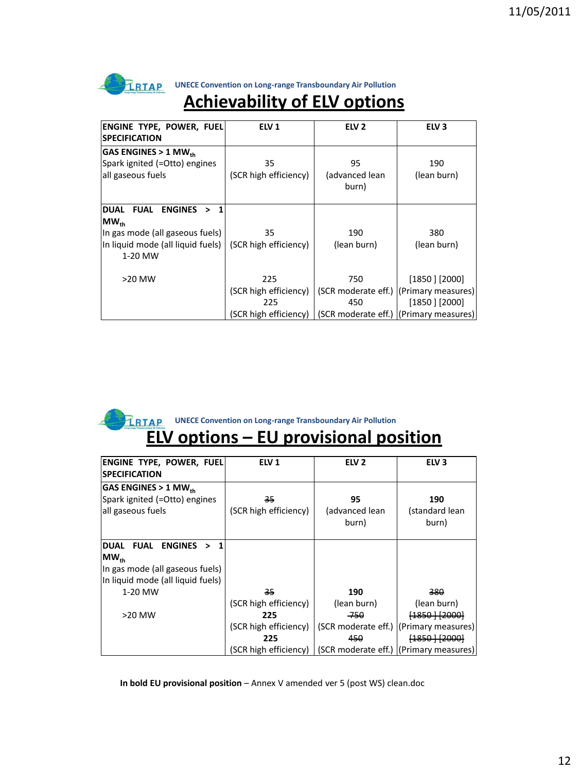

# **Achievability of ELV options**

| ENGINE TYPE, POWER, FUEL<br><b>SPECIFICATION</b>                       | ELV <sub>1</sub>      | ELV <sub>2</sub>                       | ELV <sub>3</sub>                       |
|------------------------------------------------------------------------|-----------------------|----------------------------------------|----------------------------------------|
|                                                                        |                       |                                        |                                        |
| GAS ENGINES > $1$ MW <sub>th</sub>                                     |                       |                                        |                                        |
| Spark ignited (=Otto) engines                                          | 35                    | 95                                     | 190                                    |
| all gaseous fuels                                                      | (SCR high efficiency) | (advanced lean<br>burn)                | (lean burn)                            |
| <b>FUAL</b><br><b>ENGINES</b><br><b>DUAL</b><br>$\mathbf{1}$<br>$\geq$ |                       |                                        |                                        |
| $\mathsf{MW}_{\textsf{\tiny th}}$                                      |                       |                                        |                                        |
| In gas mode (all gaseous fuels)                                        | 35                    | 190                                    | 380                                    |
| In liquid mode (all liquid fuels)                                      | (SCR high efficiency) | (lean burn)                            | (lean burn)                            |
| 1-20 MW                                                                |                       |                                        |                                        |
| >20 MW                                                                 | 225                   | 750                                    | $[1850]$ [2000]                        |
|                                                                        | (SCR high efficiency) |                                        | (SCR moderate eff.) (Primary measures) |
|                                                                        | 225                   | 450                                    | $[1850]$ [2000]                        |
|                                                                        | (SCR high efficiency) | (SCR moderate eff.) (Primary measures) |                                        |

#### **ELV options – EU provisional position UNECE Convention on Long-range Transboundary Air Pollution**

| ENGINE TYPE, POWER, FUEL<br><b>SPECIFICATION</b>                                                                                            | ELV 1                       | ELV <sub>2</sub>              | ELV <sub>3</sub>                         |
|---------------------------------------------------------------------------------------------------------------------------------------------|-----------------------------|-------------------------------|------------------------------------------|
| GAS ENGINES > 1 MW $_{\rm th}$<br>Spark ignited (=Otto) engines<br>all gaseous fuels                                                        | 35<br>(SCR high efficiency) | 95<br>(advanced lean<br>burn) | 190<br>(standard lean<br>burn)           |
| <b>FUAL</b><br><b>ENGINES</b><br><b>DUAL</b><br>1<br>><br>$MW_{th}$<br>In gas mode (all gaseous fuels)<br>In liquid mode (all liquid fuels) |                             |                               |                                          |
| 1-20 MW                                                                                                                                     | 35                          | 190                           | 380                                      |
|                                                                                                                                             | (SCR high efficiency)       | (lean burn)                   | (lean burn)                              |
| >20 MW                                                                                                                                      | 225                         | -750                          | <del>[1850 ] [2000]</del>                |
|                                                                                                                                             | (SCR high efficiency)       |                               | (SCR moderate eff.)   (Primary measures) |
|                                                                                                                                             | 225                         | 450                           | [1850 ] [2000]                           |
|                                                                                                                                             | (SCR high efficiency)       |                               | (SCR moderate eff.) (Primary measures)   |

In bold EU provisional position - Annex V amended ver 5 (post WS) clean.doc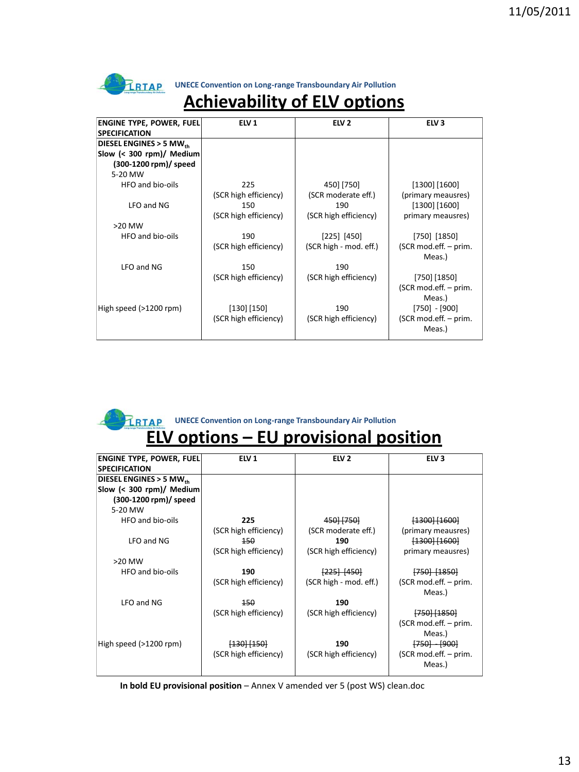

# **Achievability of ELV options**

| <b>ENGINE TYPE, POWER, FUEL</b>     | ELV <sub>1</sub>      | ELV <sub>2</sub>       | ELV <sub>3</sub>      |
|-------------------------------------|-----------------------|------------------------|-----------------------|
| <b>SPECIFICATION</b>                |                       |                        |                       |
| DIESEL ENGINES > 5 MW <sub>th</sub> |                       |                        |                       |
| Slow (< 300 rpm)/ Medium            |                       |                        |                       |
| (300-1200 rpm)/ speed               |                       |                        |                       |
| 5-20 MW                             |                       |                        |                       |
| HFO and bio-oils                    | 225                   | 450] [750]             | $[1300]$ [1600]       |
|                                     | (SCR high efficiency) | (SCR moderate eff.)    | (primary meausres)    |
| LFO and NG                          | 150                   | 190                    | $[1300]$ $[1600]$     |
|                                     | (SCR high efficiency) | (SCR high efficiency)  | primary meausres)     |
| $>20$ MW                            |                       |                        |                       |
| HFO and bio-oils                    | 190                   | $[225]$ $[450]$        | [750] [1850]          |
|                                     | (SCR high efficiency) | (SCR high - mod. eff.) | (SCR mod.eff. - prim. |
|                                     |                       |                        | Meas.)                |
| LFO and NG                          | 150                   | 190                    |                       |
|                                     | (SCR high efficiency) | (SCR high efficiency)  | [750] [1850]          |
|                                     |                       |                        | (SCR mod.eff. - prim. |
|                                     |                       |                        | Meas.)                |
| High speed (>1200 rpm)              | [130] [150]           | 190                    | $[750] - [900]$       |
|                                     | (SCR high efficiency) | (SCR high efficiency)  | (SCR mod.eff. - prim. |
|                                     |                       |                        | Meas.)                |
|                                     |                       |                        |                       |

### **UNECE Convention on Long-range Transboundary Air Pollution**

## **ELV options – EU provisional position**

| <b>ENGINE TYPE, POWER, FUEL</b>     | ELV <sub>1</sub>       | ELV <sub>2</sub>       | ELV <sub>3</sub>        |
|-------------------------------------|------------------------|------------------------|-------------------------|
| <b>SPECIFICATION</b>                |                        |                        |                         |
| DIESEL ENGINES > 5 MW <sub>th</sub> |                        |                        |                         |
| Slow (< 300 rpm)/ Medium            |                        |                        |                         |
| (300-1200 rpm)/ speed               |                        |                        |                         |
| 5-20 MW                             |                        |                        |                         |
| HFO and bio-oils                    | 225                    | 450 [750]              | $[1300]$ $[1600]$       |
|                                     | (SCR high efficiency)  | (SCR moderate eff.)    | (primary meausres)      |
| LFO and NG                          | 150                    | 190                    | $[1300]$ $[1600]$       |
|                                     | (SCR high efficiency)  | (SCR high efficiency)  | primary meausres)       |
| $>20$ MW                            |                        |                        |                         |
| HFO and bio-oils                    | 190                    | $[225]$ $[450]$        | <del>[750] [1850]</del> |
|                                     | (SCR high efficiency)  | (SCR high - mod. eff.) | (SCR mod.eff. – prim.   |
|                                     |                        |                        | Meas.)                  |
| LFO and NG                          | 150                    | 190                    |                         |
|                                     | (SCR high efficiency)  | (SCR high efficiency)  | <del>[750] [1850]</del> |
|                                     |                        |                        | (SCR mod.eff. - prim.   |
|                                     |                        |                        | Meas.)                  |
| High speed (>1200 rpm)              | <del>[130] [150]</del> | 190                    | <del>[750] [900]</del>  |
|                                     | (SCR high efficiency)  | (SCR high efficiency)  | (SCR mod.eff. – prim.   |
|                                     |                        |                        | Meas.)                  |
|                                     |                        |                        |                         |

In bold EU provisional position - Annex V amended ver 5 (post WS) clean.doc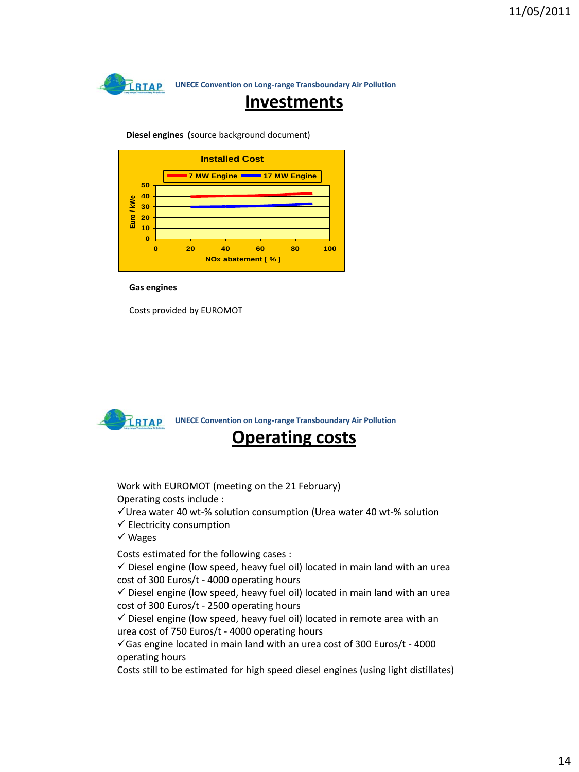**Investments**

**Diesel engines (**source background document)



**Gas engines**

Costs provided by EUROMOT



Work with EUROMOT (meeting on the 21 February) Operating costs include :

 $\checkmark$  Urea water 40 wt-% solution consumption (Urea water 40 wt-% solution

- $\checkmark$  Electricity consumption
- Wages

Costs estimated for the following cases :

 $\checkmark$  Diesel engine (low speed, heavy fuel oil) located in main land with an urea cost of 300 Euros/t - 4000 operating hours

 $\checkmark$  Diesel engine (low speed, heavy fuel oil) located in main land with an urea cost of 300 Euros/t - 2500 operating hours

 $\checkmark$  Diesel engine (low speed, heavy fuel oil) located in remote area with an urea cost of 750 Euros/t - 4000 operating hours

 $\checkmark$  Gas engine located in main land with an urea cost of 300 Euros/t - 4000 operating hours

Costs still to be estimated for high speed diesel engines (using light distillates)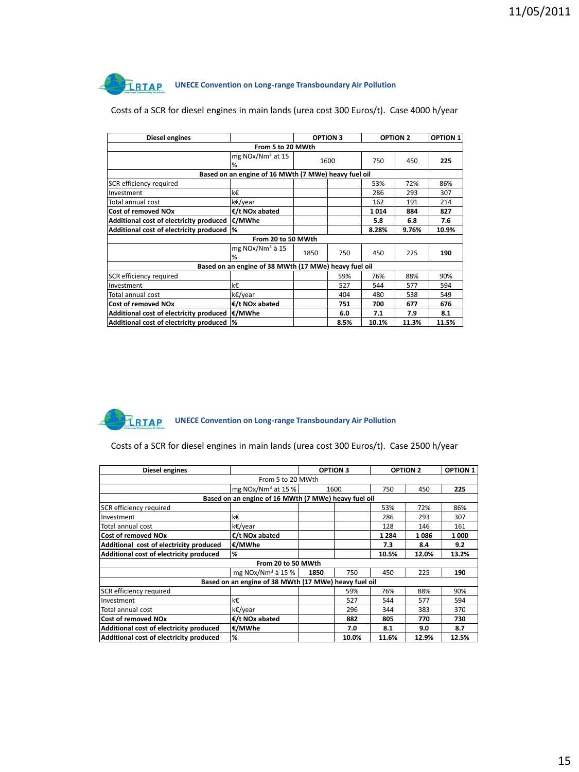| Diesel engines                          |                                                       |      | <b>OPTION 3</b> |       | <b>OPTION 2</b> | <b>OPTION 1</b> |  |
|-----------------------------------------|-------------------------------------------------------|------|-----------------|-------|-----------------|-----------------|--|
| From 5 to 20 MWth                       |                                                       |      |                 |       |                 |                 |  |
|                                         | mg $NOx/Nm3$ at 15<br>%                               |      | 1600            | 750   | 450             | 225             |  |
|                                         | Based on an engine of 16 MWth (7 MWe) heavy fuel oil  |      |                 |       |                 |                 |  |
| SCR efficiency required                 |                                                       |      |                 | 53%   | 72%             | 86%             |  |
| Investment                              | k€                                                    |      |                 | 286   | 293             | 307             |  |
| Total annual cost                       | k€/year                                               |      |                 | 162   | 191             | 214             |  |
| <b>Cost of removed NOx</b>              | €/t NOx abated                                        |      |                 | 1014  | 884             | 827             |  |
| Additional cost of electricity produced | €/MWhe                                                |      |                 | 5.8   | 6.8             | 7.6             |  |
| Additional cost of electricity produced | l%                                                    |      |                 | 8.28% | 9.76%           | 10.9%           |  |
|                                         | From 20 to 50 MWth                                    |      |                 |       |                 |                 |  |
|                                         | mg $NOx/Nm3$ à 15<br>%                                | 1850 | 750             | 450   | 225             | 190             |  |
|                                         | Based on an engine of 38 MWth (17 MWe) heavy fuel oil |      |                 |       |                 |                 |  |
| SCR efficiency required                 |                                                       |      | 59%             | 76%   | 88%             | 90%             |  |
| Investment                              | k€                                                    |      | 527             | 544   | 577             | 594             |  |
| Total annual cost                       | k€/year                                               |      | 404             | 480   | 538             | 549             |  |
| <b>Cost of removed NOx</b>              | €/t NOx abated                                        |      | 751             | 700   | 677             | 676             |  |
| Additional cost of electricity produced | €/MWhe                                                |      | 6.0             | 7.1   | 7.9             | 8.1             |  |
| Additional cost of electricity produced | %                                                     |      | 8.5%            | 10.1% | 11.3%           | 11.5%           |  |

#### Costs of a SCR for diesel engines in main lands (urea cost 300 Euros/t). Case 4000 h/year



Costs of a SCR for diesel engines in main lands (urea cost 300 Euros/t). Case 2500 h/year

| Diesel engines                          |                                                       |      | <b>OPTION 3</b> |         | <b>OPTION 2</b> | <b>OPTION 1</b> |
|-----------------------------------------|-------------------------------------------------------|------|-----------------|---------|-----------------|-----------------|
| From 5 to 20 MWth                       |                                                       |      |                 |         |                 |                 |
|                                         | mg NOx/Nm <sup>3</sup> at 15 %                        |      | 1600            | 750     | 450             | 225             |
|                                         | Based on an engine of 16 MWth (7 MWe) heavy fuel oil  |      |                 |         |                 |                 |
| SCR efficiency required                 |                                                       |      |                 | 53%     | 72%             | 86%             |
| Investment                              | k€.                                                   |      |                 | 286     | 293             | 307             |
| Total annual cost                       | k€/year                                               |      |                 | 128     | 146             | 161             |
| Cost of removed NOx                     | €/t NOx abated                                        |      |                 | 1 2 8 4 | 1086            | 1000            |
| Additional cost of electricity produced | €/MWhe                                                |      |                 | 7.3     | 8.4             | 9.2             |
| Additional cost of electricity produced | %                                                     |      |                 | 10.5%   | 12.0%           | 13.2%           |
|                                         | From 20 to 50 MWth                                    |      |                 |         |                 |                 |
|                                         | mg NOx/Nm <sup>3</sup> à 15 %                         | 1850 | 750             | 450     | 225             | 190             |
|                                         | Based on an engine of 38 MWth (17 MWe) heavy fuel oil |      |                 |         |                 |                 |
| SCR efficiency required                 |                                                       |      | 59%             | 76%     | 88%             | 90%             |
| Investment                              | k€                                                    |      | 527             | 544     | 577             | 594             |
| Total annual cost                       | k€/year                                               |      | 296             | 344     | 383             | 370             |
| <b>Cost of removed NOx</b>              | €/t NOx abated                                        |      | 882             | 805     | 770             | 730             |
| Additional cost of electricity produced | €/MWhe                                                |      | 7.0             | 8.1     | 9.0             | 8.7             |
| Additional cost of electricity produced | %                                                     |      | 10.0%           | 11.6%   | 12.9%           | 12.5%           |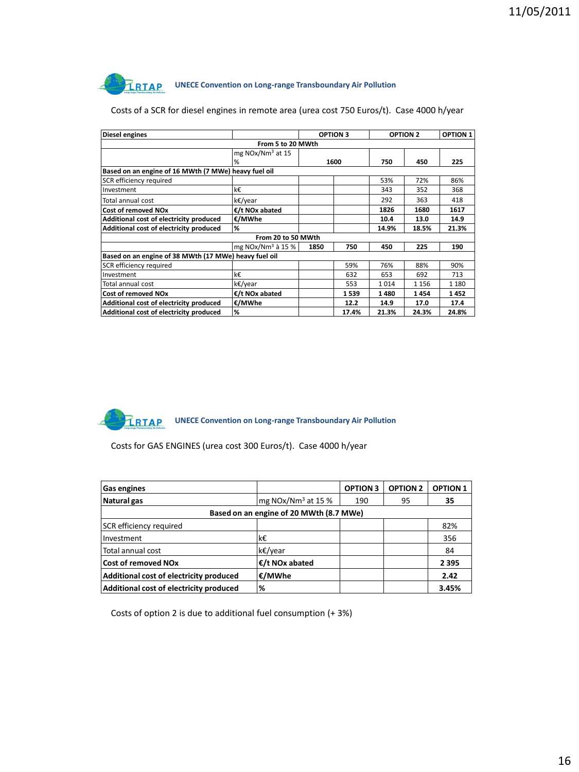| <b>Diesel engines</b>                                 |                     | <b>OPTION 3</b> |       | <b>OPTION 2</b> |         | <b>OPTION 1</b> |
|-------------------------------------------------------|---------------------|-----------------|-------|-----------------|---------|-----------------|
| From 5 to 20 MWth                                     |                     |                 |       |                 |         |                 |
|                                                       | mg $NOx/Nm3$ at 15  |                 |       |                 |         |                 |
|                                                       | %                   |                 | 1600  | 750             | 450     | 225             |
| Based on an engine of 16 MWth (7 MWe) heavy fuel oil  |                     |                 |       |                 |         |                 |
| SCR efficiency required                               |                     |                 |       | 53%             | 72%     | 86%             |
| Investment                                            | k€                  |                 |       | 343             | 352     | 368             |
| Total annual cost                                     | k€/year             |                 |       | 292             | 363     | 418             |
| <b>Cost of removed NOx</b>                            | €/t NOx abated      |                 |       | 1826            | 1680    | 1617            |
| Additional cost of electricity produced               | €/MWhe              |                 |       | 10.4            | 13.0    | 14.9            |
| Additional cost of electricity produced               | %                   |                 |       | 14.9%           | 18.5%   | 21.3%           |
|                                                       | From 20 to 50 MWth  |                 |       |                 |         |                 |
|                                                       | mg $NOx/Nm3$ à 15 % | 1850            | 750   | 450             | 225     | 190             |
| Based on an engine of 38 MWth (17 MWe) heavy fuel oil |                     |                 |       |                 |         |                 |
| SCR efficiency required                               |                     |                 | 59%   | 76%             | 88%     | 90%             |
| Investment                                            | k€                  |                 | 632   | 653             | 692     | 713             |
| Total annual cost                                     | k€/vear             |                 | 553   | 1014            | 1 1 5 6 | 1 1 8 0         |
| <b>Cost of removed NOx</b>                            | €/t NOx abated      |                 | 1539  | 1480            | 1454    | 1452            |
| Additional cost of electricity produced               | €/MWhe              |                 | 12.2  | 14.9            | 17.0    | 17.4            |
| Additional cost of electricity produced               | %                   |                 | 17.4% | 21.3%           | 24.3%   | 24.8%           |

Costs of a SCR for diesel engines in remote area (urea cost 750 Euros/t). Case 4000 h/year

TRTAP **UNECE Convention on Long-range Transboundary Air Pollution** 

Costs for GAS ENGINES (urea cost 300 Euros/t). Case 4000 h/year

| Gas engines                             |                                         | <b>OPTION 3</b> | <b>OPTION 2</b> | <b>OPTION 1</b> |
|-----------------------------------------|-----------------------------------------|-----------------|-----------------|-----------------|
| Natural gas                             | mg NOx/Nm <sup>3</sup> at 15 %          | 190             | 95              | 35              |
|                                         | Based on an engine of 20 MWth (8.7 MWe) |                 |                 |                 |
| SCR efficiency required                 |                                         |                 |                 | 82%             |
| Investment                              | k€                                      |                 |                 | 356             |
| Total annual cost                       | k€/year                                 |                 |                 | 84              |
| <b>Cost of removed NOx</b>              | $E/t$ NO <sub>x</sub> abated            |                 |                 | 2395            |
| Additional cost of electricity produced | €/MWhe                                  |                 |                 | 2.42            |
| Additional cost of electricity produced | %                                       |                 |                 | 3.45%           |

Costs of option 2 is due to additional fuel consumption (+ 3%)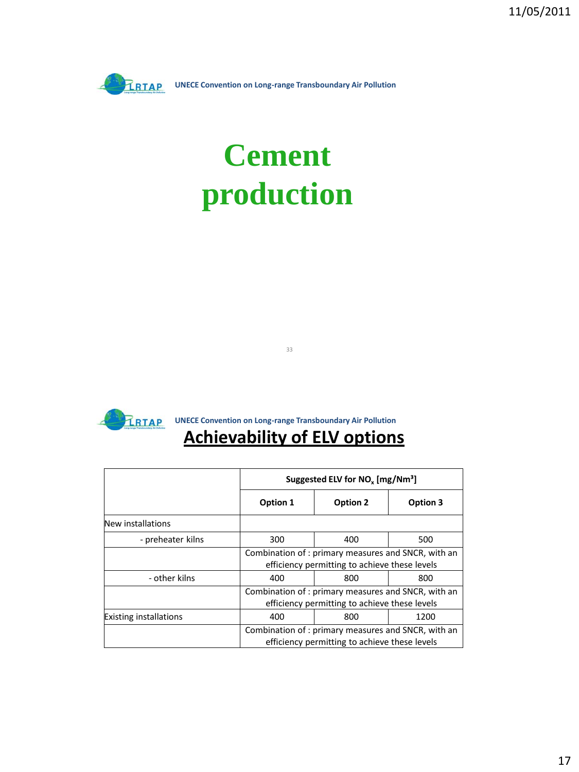

# **Cement production**



**UNECE Convention on Long-range Transboundary Air Pollution** 

33

## **Achievability of ELV options**

|                               |            | Suggested ELV for NO <sub>v</sub> [mg/Nm <sup>3</sup> ]                                             |          |  |  |  |
|-------------------------------|------------|-----------------------------------------------------------------------------------------------------|----------|--|--|--|
|                               | Option 1   | Option 2                                                                                            | Option 3 |  |  |  |
| New installations             |            |                                                                                                     |          |  |  |  |
| - preheater kilns             | 300        | 400                                                                                                 | 500      |  |  |  |
|                               |            | Combination of: primary measures and SNCR, with an<br>efficiency permitting to achieve these levels |          |  |  |  |
| - other kilns                 | 400        | 800                                                                                                 | 800      |  |  |  |
|                               |            | Combination of: primary measures and SNCR, with an<br>efficiency permitting to achieve these levels |          |  |  |  |
| <b>Existing installations</b> | 400<br>800 |                                                                                                     | 1200     |  |  |  |
|                               |            | Combination of: primary measures and SNCR, with an<br>efficiency permitting to achieve these levels |          |  |  |  |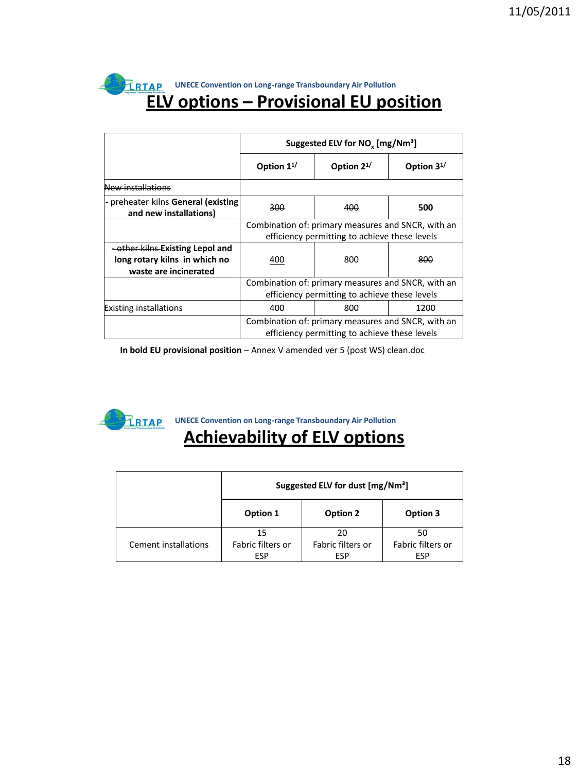#### **ELV options – Provisional EU position UNECE Convention on Long-range Transboundary Air Pollution**

|                                                                                                       | Suggested ELV for NO <sub>v</sub> [mg/Nm <sup>3</sup> ]                                             |                  |                  |  |  |
|-------------------------------------------------------------------------------------------------------|-----------------------------------------------------------------------------------------------------|------------------|------------------|--|--|
|                                                                                                       | Option $1^{1/2}$                                                                                    | Option $2^{1/2}$ | Option $3^{1/2}$ |  |  |
| <del>New installations</del>                                                                          |                                                                                                     |                  |                  |  |  |
| preheater kilns General (existing)<br>and new installations)                                          | 300                                                                                                 | 400              | 500              |  |  |
|                                                                                                       | Combination of: primary measures and SNCR, with an<br>efficiency permitting to achieve these levels |                  |                  |  |  |
| <del>- other kilns Existing Lepol and</del><br>long rotary kilns in which no<br>waste are incinerated | 800<br>400                                                                                          |                  | 800              |  |  |
|                                                                                                       | Combination of: primary measures and SNCR, with an<br>efficiency permitting to achieve these levels |                  |                  |  |  |
| sting installations                                                                                   | 400                                                                                                 | 800              | 1200             |  |  |
|                                                                                                       | Combination of: primary measures and SNCR, with an<br>efficiency permitting to achieve these levels |                  |                  |  |  |

**In bold EU provisional position** – Annex V amended ver 5 (post WS) clean.doc



**UNECE Convention on Long-range Transboundary Air Pollution** 

# **Achievability of ELV options**

|                      | Suggested ELV for dust [mg/Nm <sup>3</sup> ] |                   |                   |  |  |
|----------------------|----------------------------------------------|-------------------|-------------------|--|--|
|                      | Option 1<br>Option 2<br>Option 3             |                   |                   |  |  |
|                      | 15                                           | 20                | 50                |  |  |
| Cement installations | Fabric filters or                            | Fabric filters or | Fabric filters or |  |  |
|                      | ESP                                          | <b>ESP</b>        | ESP               |  |  |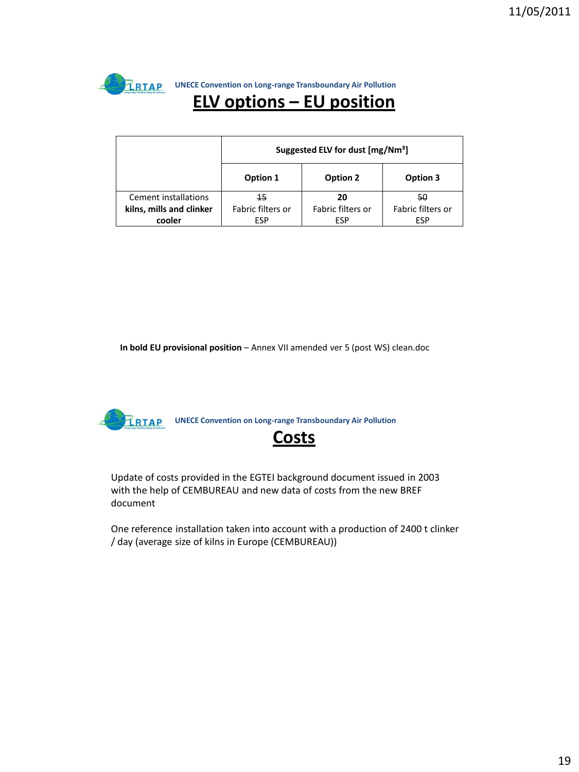TRTAP **UNECE Convention on Long-range Transboundary Air Pollution ELV options – EU position**

|                          | Suggested ELV for dust [mg/Nm <sup>3</sup> ] |                   |                   |  |  |  |
|--------------------------|----------------------------------------------|-------------------|-------------------|--|--|--|
|                          | Option 1                                     | Option 2          | Option 3          |  |  |  |
| Cement installations     | 45                                           | 20                | 50                |  |  |  |
| kilns, mills and clinker | Fabric filters or                            | Fabric filters or | Fabric filters or |  |  |  |
| cooler                   | ESP                                          | <b>ESP</b>        | <b>ESP</b>        |  |  |  |

In bold EU provisional position – Annex VII amended ver 5 (post WS) clean.doc

**UNECE Convention on Long-range Transboundary Air Pollution** 

#### **Costs**

Update of costs provided in the EGTEI background document issued in 2003 with the help of CEMBUREAU and new data of costs from the new BREF document

One reference installation taken into account with a production of 2400 t clinker / day (average size of kilns in Europe (CEMBUREAU))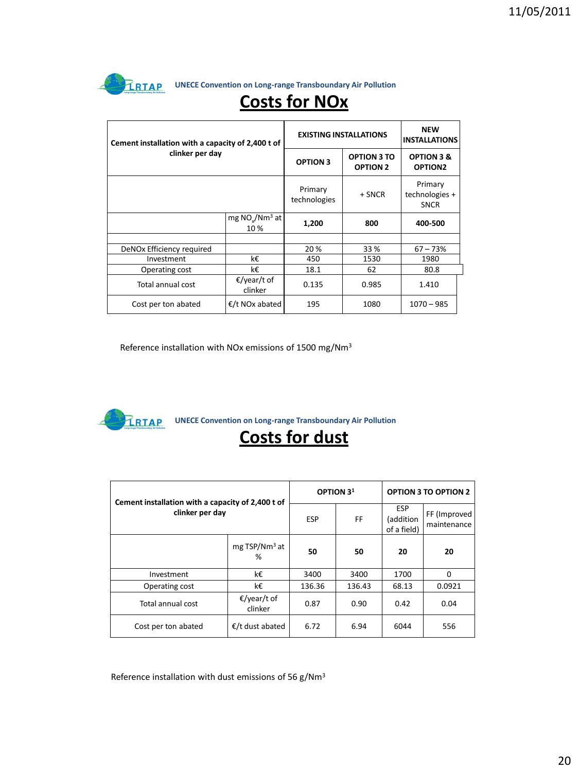

**EXAGE CONVECT CONVERTER CONVERTER UNECE CONVENTION ON LONG-range Transboundary Air Pollution** 

| Cement installation with a capacity of 2,400 t of<br>clinker per day |                            | <b>EXISTING INSTALLATIONS</b> | <b>NEW</b><br><b>INSTALLATIONS</b>    |                                              |
|----------------------------------------------------------------------|----------------------------|-------------------------------|---------------------------------------|----------------------------------------------|
|                                                                      |                            | <b>OPTION 3</b>               | <b>OPTION 3 TO</b><br><b>OPTION 2</b> | <b>OPTION 3 &amp;</b><br>OPTION <sub>2</sub> |
|                                                                      |                            | Primary<br>technologies       | + SNCR                                | Primary<br>technologies +<br><b>SNCR</b>     |
|                                                                      | mg $NOv/Nm3$ at<br>10 %    | 1,200                         | 800                                   | 400-500                                      |
|                                                                      |                            |                               |                                       |                                              |
| DeNOx Efficiency required                                            |                            | 20%                           | 33 %                                  | $67 - 73%$                                   |
| Investment                                                           | k€                         | 450                           | 1530                                  | 1980                                         |
| Operating cost                                                       | k€                         | 18.1                          | 62                                    | 80.8                                         |
| Total annual cost                                                    | €/year/t of<br>clinker     | 0.135                         | 0.985                                 | 1.410                                        |
| Cost per ton abated                                                  | €/t NO <sub>x</sub> abated | 195                           | 1080                                  | $1070 - 985$                                 |

# **Costs for NOx**

Reference installation with NOx emissions of 1500 mg/Nm<sup>3</sup>



**UNECE Convention on Long-range Transboundary Air Pollution** 

## **Costs for dust**

| Cement installation with a capacity of 2,400 t of<br>clinker per day |                                  | OPTION 3 <sup>1</sup> |        | <b>OPTION 3 TO OPTION 2</b>            |                             |
|----------------------------------------------------------------------|----------------------------------|-----------------------|--------|----------------------------------------|-----------------------------|
|                                                                      |                                  | <b>ESP</b>            | FF.    | <b>ESP</b><br>(addition<br>of a field) | FF (Improved<br>maintenance |
|                                                                      | $mg$ TSP/Nm <sup>3</sup> at<br>% | 50                    | 50     | 20                                     | 20                          |
| Investment                                                           | k€                               | 3400                  | 3400   | 1700                                   | $\Omega$                    |
| Operating cost                                                       | k€                               | 136.36                | 136.43 | 68.13                                  | 0.0921                      |
| Total annual cost                                                    | €/year/t of<br>clinker           | 0.87                  | 0.90   | 0.42                                   | 0.04                        |
| Cost per ton abated                                                  | $\epsilon$ /t dust abated        | 6.72                  | 6.94   | 6044                                   | 556                         |

Reference installation with dust emissions of 56 g/Nm<sup>3</sup>